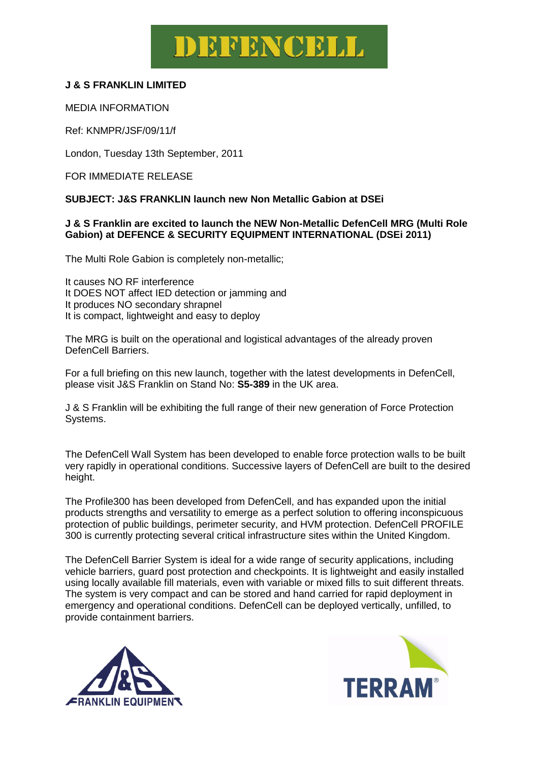## DEFENCELL

### **J & S FRANKLIN LIMITED**

MEDIA INFORMATION

Ref: KNMPR/JSF/09/11/f

London, Tuesday 13th September, 2011

FOR IMMEDIATE RELEASE

#### **SUBJECT: J&S FRANKLIN launch new Non Metallic Gabion at DSEi**

#### **J & S Franklin are excited to launch the NEW Non-Metallic DefenCell MRG (Multi Role Gabion) at DEFENCE & SECURITY EQUIPMENT INTERNATIONAL (DSEi 2011)**

The Multi Role Gabion is completely non-metallic;

It causes NO RF interference It DOES NOT affect IED detection or jamming and It produces NO secondary shrapnel It is compact, lightweight and easy to deploy

The MRG is built on the operational and logistical advantages of the already proven DefenCell Barriers.

For a full briefing on this new launch, together with the latest developments in DefenCell, please visit J&S Franklin on Stand No: **S5-389** in the UK area.

J & S Franklin will be exhibiting the full range of their new generation of Force Protection Systems.

The DefenCell Wall System has been developed to enable force protection walls to be built very rapidly in operational conditions. Successive layers of DefenCell are built to the desired height.

The Profile300 has been developed from DefenCell, and has expanded upon the initial products strengths and versatility to emerge as a perfect solution to offering inconspicuous protection of public buildings, perimeter security, and HVM protection. DefenCell PROFILE 300 is currently protecting several critical infrastructure sites within the United Kingdom.

The DefenCell Barrier System is ideal for a wide range of security applications, including vehicle barriers, guard post protection and checkpoints. It is lightweight and easily installed using locally available fill materials, even with variable or mixed fills to suit different threats. The system is very compact and can be stored and hand carried for rapid deployment in emergency and operational conditions. DefenCell can be deployed vertically, unfilled, to provide containment barriers.